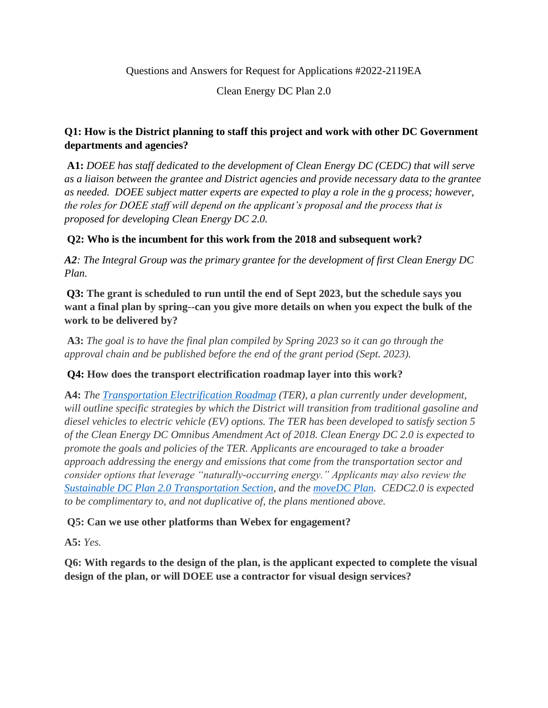Questions and Answers for Request for Applications #2022-2119EA

Clean Energy DC Plan 2.0

# **Q1: How is the District planning to staff this project and work with other DC Government departments and agencies?**

**A1:** *DOEE has staff dedicated to the development of Clean Energy DC (CEDC) that will serve as a liaison between the grantee and District agencies and provide necessary data to the grantee as needed. DOEE subject matter experts are expected to play a role in the g process; however, the roles for DOEE staff will depend on the applicant's proposal and the process that is proposed for developing Clean Energy DC 2.0.* 

# **Q2: Who is the incumbent for this work from the 2018 and subsequent work?**

*A2: The Integral Group was the primary grantee for the development of first Clean Energy DC Plan.*

**Q3: The grant is scheduled to run until the end of Sept 2023, but the schedule says you want a final plan by spring--can you give more details on when you expect the bulk of the work to be delivered by?**

**A3:** *The goal is to have the final plan compiled by Spring 2023 so it can go through the approval chain and be published before the end of the grant period (Sept. 2023).* 

# **Q4: How does the transport electrification roadmap layer into this work?**

**A4:** *The [Transportation Electrification Roadmap](https://doee.dc.gov/node/1555536) (TER), a plan currently under development, will outline specific strategies by which the District will transition from traditional gasoline and diesel vehicles to electric vehicle (EV) options. The TER has been developed to satisfy section 5 of the Clean Energy DC Omnibus Amendment Act of 2018. Clean Energy DC 2.0 is expected to promote the goals and policies of the TER. Applicants are encouraged to take a broader approach addressing the energy and emissions that come from the transportation sector and consider options that leverage "naturally-occurring energy." Applicants may also review the [Sustainable DC Plan 2.0 Transportation Section,](https://sustainable.dc.gov/transportation) and the [moveDC Plan.](https://movedc-dcgis.hub.arcgis.com/) CEDC2.0 is expected to be complimentary to, and not duplicative of, the plans mentioned above.* 

**Q5: Can we use other platforms than Webex for engagement?** 

**A5:** *Yes.*

**Q6: With regards to the design of the plan, is the applicant expected to complete the visual design of the plan, or will DOEE use a contractor for visual design services?**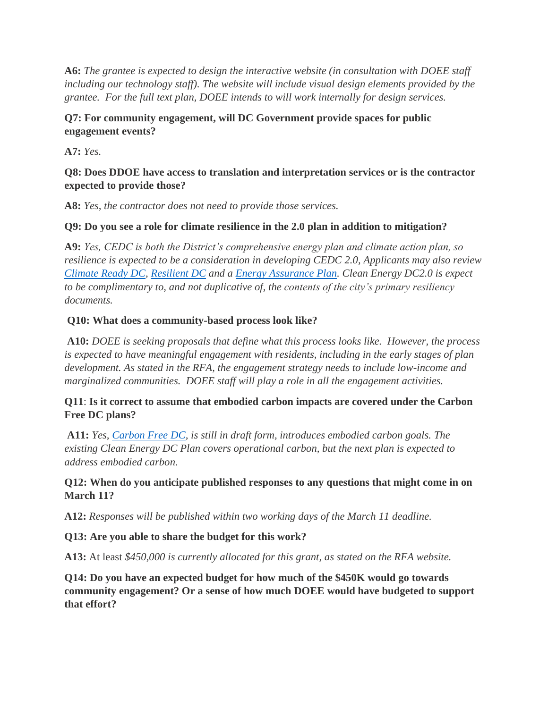**A6:** *The grantee is expected to design the interactive website (in consultation with DOEE staff including our technology staff). The website will include visual design elements provided by the grantee. For the full text plan, DOEE intends to will work internally for design services.* 

#### **Q7: For community engagement, will DC Government provide spaces for public engagement events?**

**A7:** *Yes.* 

#### **Q8: Does DDOE have access to translation and interpretation services or is the contractor expected to provide those?**

**A8:** *Yes, the contractor does not need to provide those services.*

# **Q9: Do you see a role for climate resilience in the 2.0 plan in addition to mitigation?**

**A9:** *Yes, CEDC is both the District's comprehensive energy plan and climate action plan, so resilience is expected to be a consideration in developing CEDC 2.0, Applicants may also review [Climate Ready DC,](https://doee.dc.gov/sites/default/files/dc/sites/ddoe/service_content/attachments/CRDC-Report-FINAL-Web.pdf) [Resilient DC](https://resilient.dc.gov/) and a [Energy Assurance Plan.](https://doee.dc.gov/sites/default/files/dc/sites/ddoe/publication/attachments/EAP%202018-2022-.pdf) Clean Energy DC2.0 is expect to be complimentary to, and not duplicative of, the contents of the city's primary resiliency documents.* 

# **Q10: What does a community-based process look like?**

**A10:** *DOEE is seeking proposals that define what this process looks like. However, the process is expected to have meaningful engagement with residents, including in the early stages of plan development. As stated in the RFA, the engagement strategy needs to include low-income and marginalized communities. DOEE staff will play a role in all the engagement activities.* 

# **Q11**: **Is it correct to assume that embodied carbon impacts are covered under the Carbon Free DC plans?**

**A11:** *Yes, [Carbon Free DC,](https://storymaps.arcgis.com/stories/034104405ef9462f8e02a49f2bd84fd9) is still in draft form, introduces embodied carbon goals. The existing Clean Energy DC Plan covers operational carbon, but the next plan is expected to address embodied carbon.*

# **Q12: When do you anticipate published responses to any questions that might come in on March 11?**

**A12:** *Responses will be published within two working days of the March 11 deadline.* 

# **Q13: Are you able to share the budget for this work?**

**A13:** At least *\$450,000 is currently allocated for this grant, as stated on the RFA website.* 

**Q14: Do you have an expected budget for how much of the \$450K would go towards community engagement? Or a sense of how much DOEE would have budgeted to support that effort?**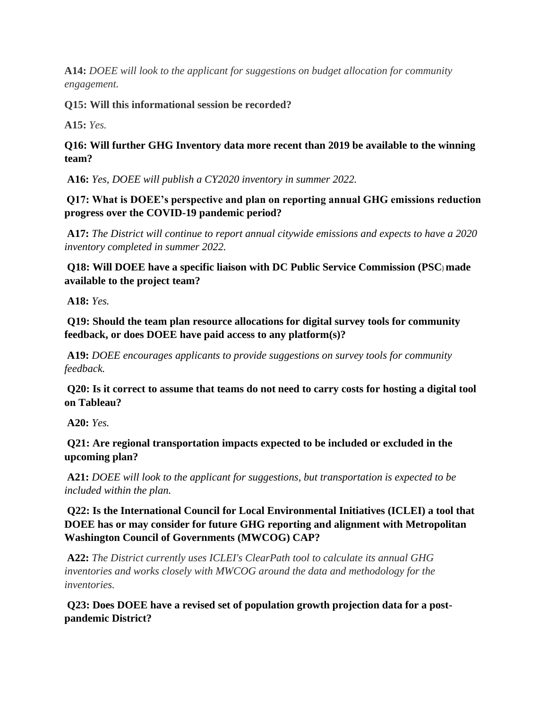**A14:** *DOEE will look to the applicant for suggestions on budget allocation for community engagement.*

**Q15: Will this informational session be recorded?**

**A15:** *Yes.*

# **Q16: Will further GHG Inventory data more recent than 2019 be available to the winning team?**

**A16:** *Yes, DOEE will publish a CY2020 inventory in summer 2022.*

**Q17: What is DOEE's perspective and plan on reporting annual GHG emissions reduction progress over the COVID-19 pandemic period?**

**A17:** *The District will continue to report annual citywide emissions and expects to have a 2020 inventory completed in summer 2022.*

**Q18: Will DOEE have a specific liaison with DC Public Service Commission (PSC**) **made available to the project team?**

**A18:** *Yes.*

**Q19: Should the team plan resource allocations for digital survey tools for community feedback, or does DOEE have paid access to any platform(s)?**

**A19:** *DOEE encourages applicants to provide suggestions on survey tools for community feedback.*

**Q20: Is it correct to assume that teams do not need to carry costs for hosting a digital tool on Tableau?**

**A20:** *Yes.* 

**Q21: Are regional transportation impacts expected to be included or excluded in the upcoming plan?**

**A21:** *DOEE will look to the applicant for suggestions, but transportation is expected to be included within the plan.* 

**Q22: Is the International Council for Local Environmental Initiatives (ICLEI) a tool that DOEE has or may consider for future GHG reporting and alignment with Metropolitan Washington Council of Governments (MWCOG) CAP?**

**A22:** *The District currently uses ICLEI's ClearPath tool to calculate its annual GHG inventories and works closely with MWCOG around the data and methodology for the inventories.*

**Q23: Does DOEE have a revised set of population growth projection data for a postpandemic District?**